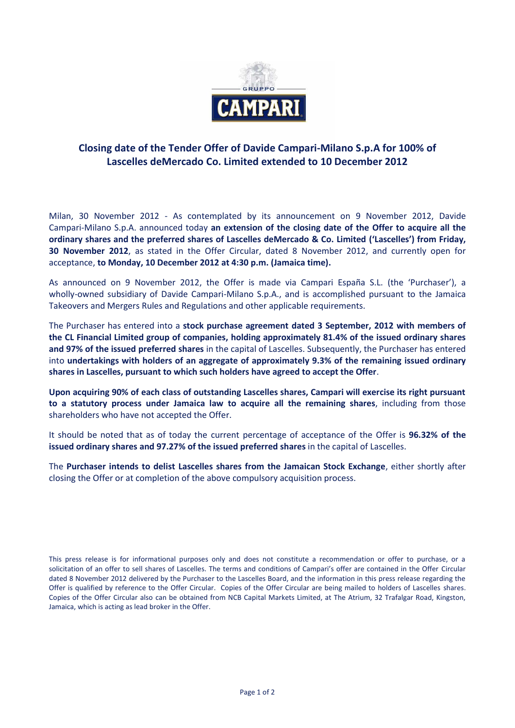

## **Closing date of the Tender Offer of Davide Campari-Milano S.p.A for 100% of Lascelles deMercado Co. Limited extended to 10 December 2012**

Milan, 30 November 2012 - As contemplated by its announcement on 9 November 2012, Davide Campari-Milano S.p.A. announced today **an extension of the closing date of the Offer to acquire all the ordinary shares and the preferred shares of Lascelles deMercado & Co. Limited ('Lascelles') from Friday, 30 November 2012**, as stated in the Offer Circular, dated 8 November 2012, and currently open for acceptance, **to Monday, 10 December 2012 at 4:30 p.m. (Jamaica time).**

As announced on 9 November 2012, the Offer is made via Campari España S.L. (the 'Purchaser'), a wholly-owned subsidiary of Davide Campari-Milano S.p.A., and is accomplished pursuant to the Jamaica Takeovers and Mergers Rules and Regulations and other applicable requirements.

The Purchaser has entered into a **stock purchase agreement dated 3 September, 2012 with members of the CL Financial Limited group of companies, holding approximately 81.4% of the issued ordinary shares and 97% of the issued preferred shares** in the capital of Lascelles. Subsequently, the Purchaser has entered into **undertakings with holders of an aggregate of approximately 9.3% of the remaining issued ordinary shares in Lascelles, pursuant to which such holders have agreed to accept the Offer**.

**Upon acquiring 90% of each class of outstanding Lascelles shares, Campari will exercise its right pursuant to a statutory process under Jamaica law to acquire all the remaining shares**, including from those shareholders who have not accepted the Offer.

It should be noted that as of today the current percentage of acceptance of the Offer is **96.32% of the issued ordinary shares and 97.27% of the issued preferred shares** in the capital of Lascelles.

The **Purchaser intends to delist Lascelles shares from the Jamaican Stock Exchange**, either shortly after closing the Offer or at completion of the above compulsory acquisition process.

This press release is for informational purposes only and does not constitute a recommendation or offer to purchase, or a solicitation of an offer to sell shares of Lascelles. The terms and conditions of Campari's offer are contained in the Offer Circular dated 8 November 2012 delivered by the Purchaser to the Lascelles Board, and the information in this press release regarding the Offer is qualified by reference to the Offer Circular. Copies of the Offer Circular are being mailed to holders of Lascelles shares. Copies of the Offer Circular also can be obtained from NCB Capital Markets Limited, at The Atrium, 32 Trafalgar Road, Kingston, Jamaica, which is acting as lead broker in the Offer.